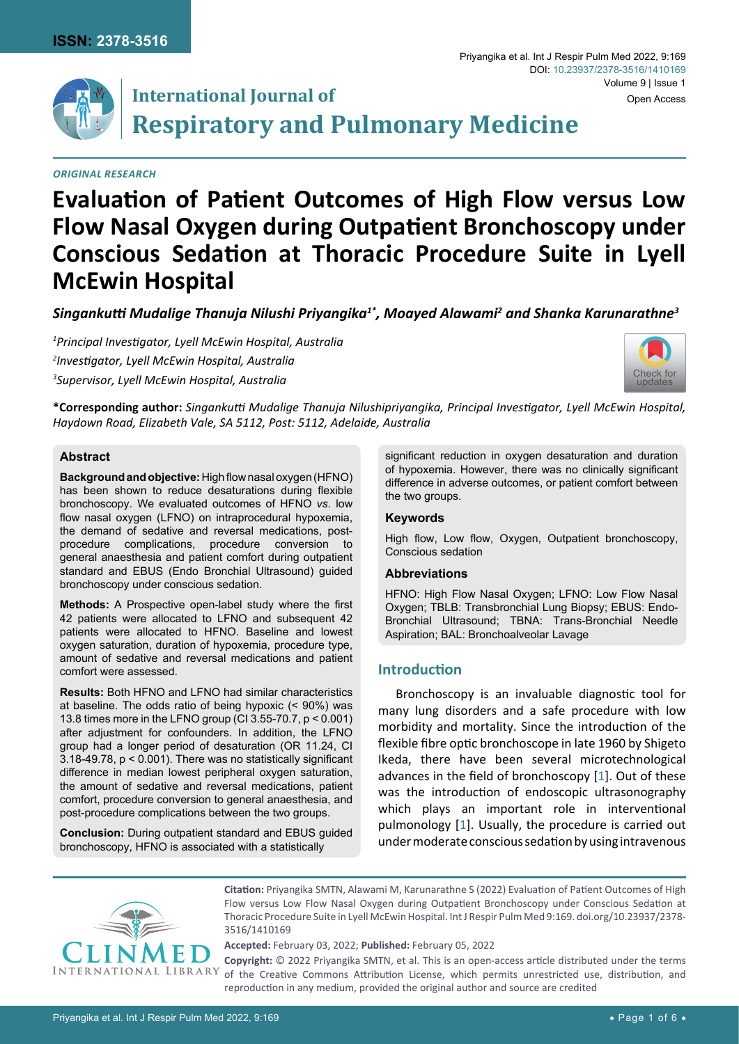

# **International Journal of Respiratory and Pulmonary Medicine**

## *Original Research*

## **Evaluation of Patient Outcomes of High Flow versus Low Flow Nasal Oxygen during Outpatient Bronchoscopy under Conscious Sedation at Thoracic Procedure Suite in Lyell McEwin Hospital**

*Singankutti Mudalige Thanuja Nilushi Priyangika1\*, Moayed Alawami<sup>2</sup> and Shanka Karunarathne<sup>3</sup>*

*1 Principal Investigator, Lyell McEwin Hospital, Australia 2 Investigator, Lyell McEwin Hospital, Australia 3 Supervisor, Lyell McEwin Hospital, Australia*



Volume 9 | Issue 1

Open Access

**\*Corresponding author:** *Singankutti Mudalige Thanuja Nilushipriyangika, Principal Investigator, Lyell McEwin Hospital, Haydown Road, Elizabeth Vale, SA 5112, Post: 5112, Adelaide, Australia*

## **Abstract**

**Background and objective:** High flow nasal oxygen (HFNO) has been shown to reduce desaturations during flexible bronchoscopy. We evaluated outcomes of HFNO *vs*. low flow nasal oxygen (LFNO) on intraprocedural hypoxemia, the demand of sedative and reversal medications, postprocedure complications, procedure conversion to general anaesthesia and patient comfort during outpatient standard and EBUS (Endo Bronchial Ultrasound) guided bronchoscopy under conscious sedation.

**Methods:** A Prospective open-label study where the first 42 patients were allocated to LFNO and subsequent 42 patients were allocated to HFNO. Baseline and lowest oxygen saturation, duration of hypoxemia, procedure type, amount of sedative and reversal medications and patient comfort were assessed.

**Results:** Both HFNO and LFNO had similar characteristics at baseline. The odds ratio of being hypoxic (< 90%) was 13.8 times more in the LFNO group (CI 3.55-70.7, p < 0.001) after adjustment for confounders. In addition, the LFNO group had a longer period of desaturation (OR 11.24, CI 3.18-49.78, p < 0.001). There was no statistically significant difference in median lowest peripheral oxygen saturation, the amount of sedative and reversal medications, patient comfort, procedure conversion to general anaesthesia, and post-procedure complications between the two groups.

**Conclusion:** During outpatient standard and EBUS guided bronchoscopy, HFNO is associated with a statistically

significant reduction in oxygen desaturation and duration of hypoxemia. However, there was no clinically significant difference in adverse outcomes, or patient comfort between the two groups.

Priyangika et al. Int J Respir Pulm Med 2022, 9:169

DOI: [10.23937/2378-3516/1410169](https://doi.org/10.23937/2378-3516/1410169)

#### **Keywords**

High flow, Low flow, Oxygen, Outpatient bronchoscopy, Conscious sedation

#### **Abbreviations**

HFNO: High Flow Nasal Oxygen; LFNO: Low Flow Nasal Oxygen; TBLB: Transbronchial Lung Biopsy; EBUS: Endo-Bronchial Ultrasound; TBNA: Trans-Bronchial Needle Aspiration; BAL: Bronchoalveolar Lavage

## **Introduction**

Bronchoscopy is an invaluable diagnostic tool for many lung disorders and a safe procedure with low morbidity and mortality. Since the introduction of the flexible fibre optic bronchoscope in late 1960 by Shigeto Ikeda, there have been several microtechnological advances in the field of bronchoscopy [[1](#page-5-0)]. Out of these was the introduction of endoscopic ultrasonography which plays an important role in interventional pulmonology [\[1\]](#page-5-0). Usually, the procedure is carried out under moderate conscious sedation by using intravenous



**Citation:** Priyangika SMTN, Alawami M, Karunarathne S (2022) Evaluation of Patient Outcomes of High Flow versus Low Flow Nasal Oxygen during Outpatient Bronchoscopy under Conscious Sedation at Thoracic Procedure Suite in Lyell McEwin Hospital. Int J Respir Pulm Med 9:169. [doi.org/10.23937/2378-](https://doi.org/10.23937/2378-3516/1410169) [3516/1410169](https://doi.org/10.23937/2378-3516/1410169)

**Accepted:** February 03, 2022; **Published:** February 05, 2022

**Copyright:** © 2022 Priyangika SMTN, et al. This is an open-access article distributed under the terms of the Creative Commons Attribution License, which permits unrestricted use, distribution, and reproduction in any medium, provided the original author and source are credited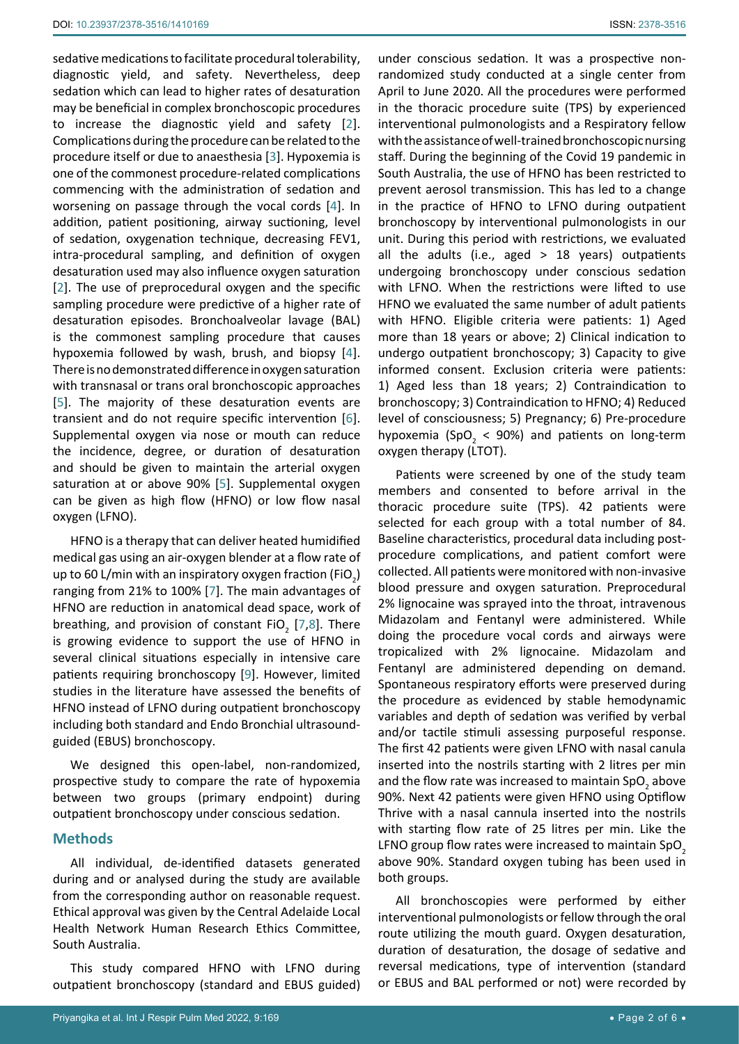sedative medications to facilitate procedural tolerability, diagnostic yield, and safety. Nevertheless, deep sedation which can lead to higher rates of desaturation may be beneficial in complex bronchoscopic procedures to increase the diagnostic yield and safety [[2](#page-5-1)]. Complications during the procedure can be related to the procedure itself or due to anaesthesia [\[3\]](#page-5-2). Hypoxemia is one of the commonest procedure-related complications commencing with the administration of sedation and worsening on passage through the vocal cords [\[4\]](#page-5-3). In addition, patient positioning, airway suctioning, level of sedation, oxygenation technique, decreasing FEV1, intra-procedural sampling, and definition of oxygen desaturation used may also influence oxygen saturation [[2](#page-5-1)]. The use of preprocedural oxygen and the specific sampling procedure were predictive of a higher rate of desaturation episodes. Bronchoalveolar lavage (BAL) is the commonest sampling procedure that causes hypoxemia followed by wash, brush, and biopsy [[4](#page-5-3)]. There is no demonstrated difference in oxygen saturation with transnasal or trans oral bronchoscopic approaches [[5](#page-5-4)]. The majority of these desaturation events are transient and do not require specific intervention [[6](#page-5-5)]. Supplemental oxygen via nose or mouth can reduce the incidence, degree, or duration of desaturation and should be given to maintain the arterial oxygen saturation at or above 90% [[5](#page-5-4)]. Supplemental oxygen can be given as high flow (HFNO) or low flow nasal oxygen (LFNO).

HFNO is a therapy that can deliver heated humidified medical gas using an air-oxygen blender at a flow rate of up to 60 L/min with an inspiratory oxygen fraction (FiO $_{\rm 2})$ ranging from 21% to 100% [\[7\]](#page-5-6). The main advantages of HFNO are reduction in anatomical dead space, work of breathing, and provision of constant FiO<sub>2</sub> [\[7](#page-5-6),[8](#page-5-7)]. There is growing evidence to support the use of HFNO in several clinical situations especially in intensive care patients requiring bronchoscopy [\[9\]](#page-5-8). However, limited studies in the literature have assessed the benefits of HFNO instead of LFNO during outpatient bronchoscopy including both standard and Endo Bronchial ultrasoundguided (EBUS) bronchoscopy.

We designed this open-label, non-randomized, prospective study to compare the rate of hypoxemia between two groups (primary endpoint) during outpatient bronchoscopy under conscious sedation.

## **Methods**

All individual, de-identified datasets generated during and or analysed during the study are available from the corresponding author on reasonable request. Ethical approval was given by the Central Adelaide Local Health Network Human Research Ethics Committee, South Australia.

This study compared HFNO with LFNO during outpatient bronchoscopy (standard and EBUS guided)

under conscious sedation. It was a prospective nonrandomized study conducted at a single center from April to June 2020. All the procedures were performed in the thoracic procedure suite (TPS) by experienced interventional pulmonologists and a Respiratory fellow with the assistance of well-trained bronchoscopic nursing staff. During the beginning of the Covid 19 pandemic in South Australia, the use of HFNO has been restricted to prevent aerosol transmission. This has led to a change in the practice of HFNO to LFNO during outpatient bronchoscopy by interventional pulmonologists in our unit. During this period with restrictions, we evaluated all the adults (i.e., aged  $> 18$  years) outpatients undergoing bronchoscopy under conscious sedation with LFNO. When the restrictions were lifted to use HFNO we evaluated the same number of adult patients with HFNO. Eligible criteria were patients: 1) Aged more than 18 years or above; 2) Clinical indication to undergo outpatient bronchoscopy; 3) Capacity to give informed consent. Exclusion criteria were patients: 1) Aged less than 18 years; 2) Contraindication to bronchoscopy; 3) Contraindication to HFNO; 4) Reduced level of consciousness; 5) Pregnancy; 6) Pre-procedure hypoxemia (SpO<sub>2</sub> < 90%) and patients on long-term oxygen therapy (LTOT).

Patients were screened by one of the study team members and consented to before arrival in the thoracic procedure suite (TPS). 42 patients were selected for each group with a total number of 84. Baseline characteristics, procedural data including postprocedure complications, and patient comfort were collected. All patients were monitored with non-invasive blood pressure and oxygen saturation. Preprocedural 2% lignocaine was sprayed into the throat, intravenous Midazolam and Fentanyl were administered. While doing the procedure vocal cords and airways were tropicalized with 2% lignocaine. Midazolam and Fentanyl are administered depending on demand. Spontaneous respiratory efforts were preserved during the procedure as evidenced by stable hemodynamic variables and depth of sedation was verified by verbal and/or tactile stimuli assessing purposeful response. The first 42 patients were given LFNO with nasal canula inserted into the nostrils starting with 2 litres per min and the flow rate was increased to maintain SpO<sub>2</sub> above 90%. Next 42 patients were given HFNO using Optiflow Thrive with a nasal cannula inserted into the nostrils with starting flow rate of 25 litres per min. Like the LFNO group flow rates were increased to maintain  $SpO<sub>2</sub>$ above 90%. Standard oxygen tubing has been used in both groups.

All bronchoscopies were performed by either interventional pulmonologists or fellow through the oral route utilizing the mouth guard. Oxygen desaturation, duration of desaturation, the dosage of sedative and reversal medications, type of intervention (standard or EBUS and BAL performed or not) were recorded by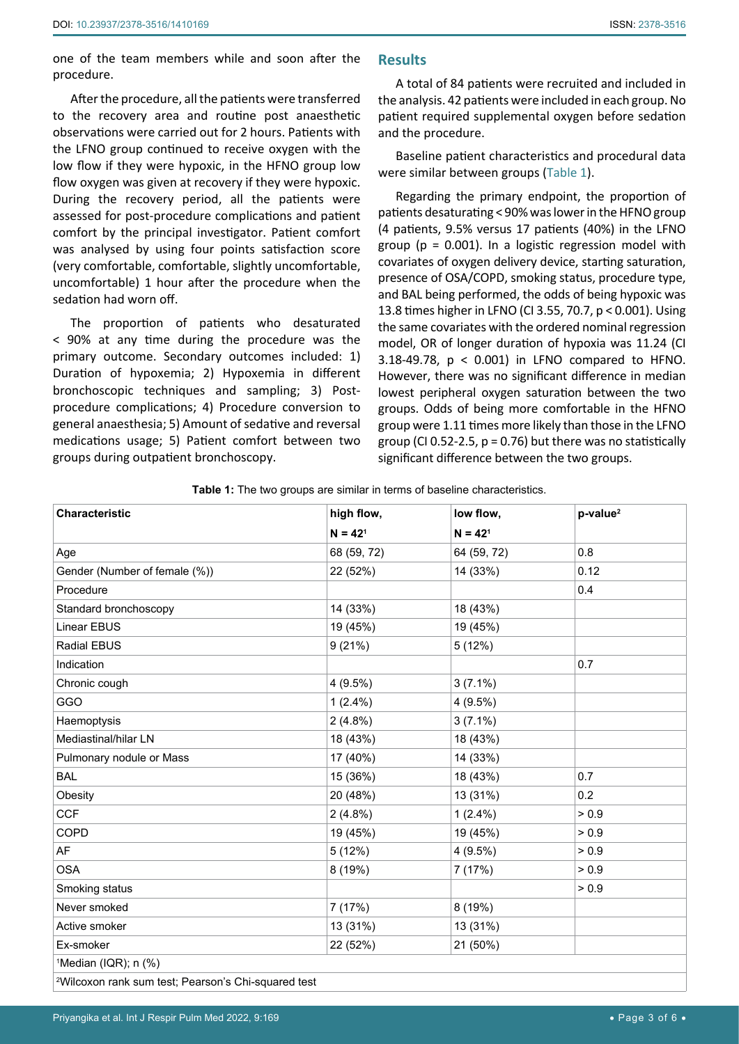one of the team members while and soon after the procedure.

After the procedure, all the patients were transferred to the recovery area and routine post anaesthetic observations were carried out for 2 hours. Patients with the LFNO group continued to receive oxygen with the low flow if they were hypoxic, in the HFNO group low flow oxygen was given at recovery if they were hypoxic. During the recovery period, all the patients were assessed for post-procedure complications and patient comfort by the principal investigator. Patient comfort was analysed by using four points satisfaction score (very comfortable, comfortable, slightly uncomfortable, uncomfortable) 1 hour after the procedure when the sedation had worn off.

The proportion of patients who desaturated < 90% at any time during the procedure was the primary outcome. Secondary outcomes included: 1) Duration of hypoxemia; 2) Hypoxemia in different bronchoscopic techniques and sampling; 3) Postprocedure complications; 4) Procedure conversion to general anaesthesia; 5) Amount of sedative and reversal medications usage; 5) Patient comfort between two groups during outpatient bronchoscopy.

## **Results**

A total of 84 patients were recruited and included in the analysis. 42 patients were included in each group. No patient required supplemental oxygen before sedation and the procedure.

Baseline patient characteristics and procedural data were similar between groups ([Table 1](#page-2-0)).

Regarding the primary endpoint, the proportion of patients desaturating < 90% was lower in the HFNO group (4 patients, 9.5% versus 17 patients (40%) in the LFNO group ( $p = 0.001$ ). In a logistic regression model with covariates of oxygen delivery device, starting saturation, presence of OSA/COPD, smoking status, procedure type, and BAL being performed, the odds of being hypoxic was 13.8 times higher in LFNO (CI 3.55, 70.7, p < 0.001). Using the same covariates with the ordered nominal regression model, OR of longer duration of hypoxia was 11.24 (CI 3.18-49.78, p < 0.001) in LFNO compared to HFNO. However, there was no significant difference in median lowest peripheral oxygen saturation between the two groups. Odds of being more comfortable in the HFNO group were 1.11 times more likely than those in the LFNO group (CI 0.52-2.5,  $p = 0.76$ ) but there was no statistically significant difference between the two groups.

<span id="page-2-0"></span>

| Table 1: The two groups are similar in terms of baseline characteristics. |  |  |
|---------------------------------------------------------------------------|--|--|
|                                                                           |  |  |

| Characteristic                                                  | high flow,  | low flow,   | $p-value2$ |  |  |  |
|-----------------------------------------------------------------|-------------|-------------|------------|--|--|--|
|                                                                 | $N = 421$   | $N = 421$   |            |  |  |  |
| Age                                                             | 68 (59, 72) | 64 (59, 72) | 0.8        |  |  |  |
| Gender (Number of female (%))                                   | 22 (52%)    | 14 (33%)    | 0.12       |  |  |  |
| Procedure                                                       |             |             | 0.4        |  |  |  |
| Standard bronchoscopy                                           | 14 (33%)    | 18 (43%)    |            |  |  |  |
| <b>Linear EBUS</b>                                              | 19 (45%)    | 19 (45%)    |            |  |  |  |
| Radial EBUS                                                     | 9(21%)      | 5(12%)      |            |  |  |  |
| Indication                                                      |             |             | 0.7        |  |  |  |
| Chronic cough                                                   | $4(9.5\%)$  | $3(7.1\%)$  |            |  |  |  |
| GGO                                                             | $1(2.4\%)$  | $4(9.5\%)$  |            |  |  |  |
| Haemoptysis                                                     | $2(4.8\%)$  | $3(7.1\%)$  |            |  |  |  |
| Mediastinal/hilar LN                                            | 18 (43%)    | 18 (43%)    |            |  |  |  |
| Pulmonary nodule or Mass                                        | 17 (40%)    | 14 (33%)    |            |  |  |  |
| <b>BAL</b>                                                      | 15 (36%)    | 18 (43%)    | 0.7        |  |  |  |
| Obesity                                                         | 20 (48%)    | 13 (31%)    | 0.2        |  |  |  |
| <b>CCF</b>                                                      | $2(4.8\%)$  | $1(2.4\%)$  | > 0.9      |  |  |  |
| COPD                                                            | 19 (45%)    | 19 (45%)    | > 0.9      |  |  |  |
| AF                                                              | 5(12%)      | 4(9.5%)     | > 0.9      |  |  |  |
| <b>OSA</b>                                                      | 8 (19%)     | 7 (17%)     | > 0.9      |  |  |  |
| Smoking status                                                  |             |             | > 0.9      |  |  |  |
| Never smoked                                                    | 7(17%)      | 8 (19%)     |            |  |  |  |
| Active smoker                                                   | 13 (31%)    | 13 (31%)    |            |  |  |  |
| Ex-smoker                                                       | 22 (52%)    | 21 (50%)    |            |  |  |  |
| <sup>1</sup> Median (IQR); n (%)                                |             |             |            |  |  |  |
| <sup>2</sup> Wilcoxon rank sum test; Pearson's Chi-squared test |             |             |            |  |  |  |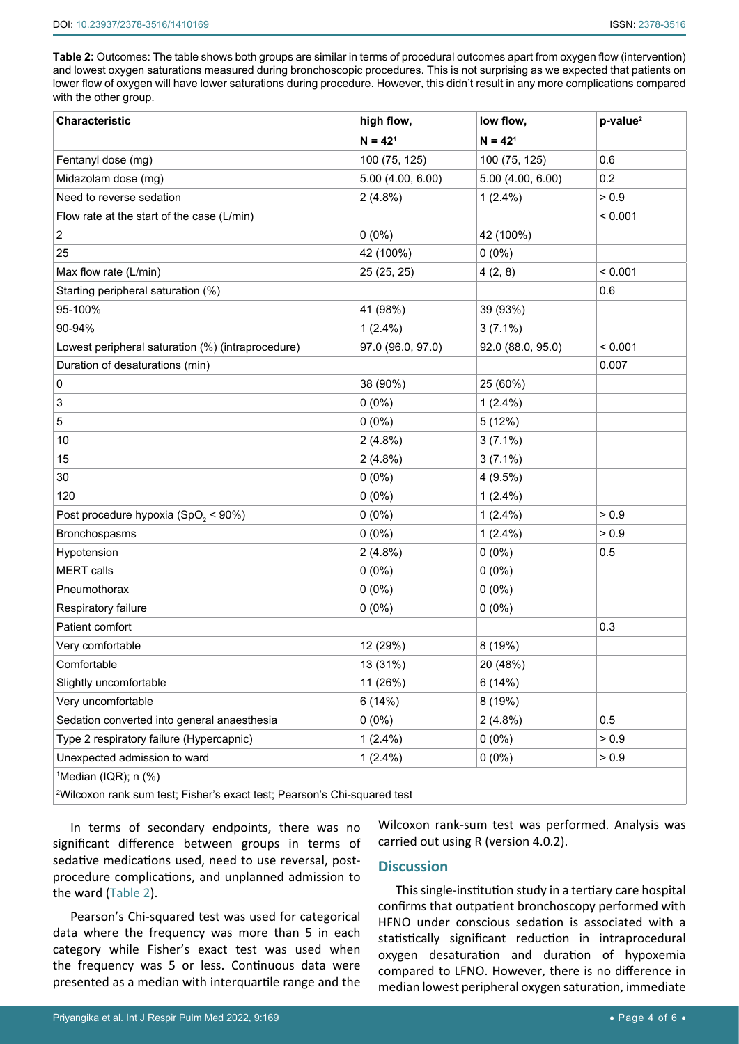<span id="page-3-0"></span>**Table 2:** Outcomes: The table shows both groups are similar in terms of procedural outcomes apart from oxygen flow (intervention) and lowest oxygen saturations measured during bronchoscopic procedures. This is not surprising as we expected that patients on lower flow of oxygen will have lower saturations during procedure. However, this didn't result in any more complications compared with the other group.

| Characteristic                                                                       | high flow,        | low flow,         | $p-value2$ |  |  |  |
|--------------------------------------------------------------------------------------|-------------------|-------------------|------------|--|--|--|
|                                                                                      | $N = 421$         | $N = 421$         |            |  |  |  |
| Fentanyl dose (mg)                                                                   | 100 (75, 125)     | 100 (75, 125)     | 0.6        |  |  |  |
| Midazolam dose (mg)                                                                  | 5.00 (4.00, 6.00) | 5.00 (4.00, 6.00) | 0.2        |  |  |  |
| Need to reverse sedation                                                             | $2(4.8\%)$        | $1(2.4\%)$        | > 0.9      |  |  |  |
| Flow rate at the start of the case (L/min)                                           |                   |                   | < 0.001    |  |  |  |
| $\boldsymbol{2}$                                                                     | $0(0\%)$          | 42 (100%)         |            |  |  |  |
| 25                                                                                   | 42 (100%)         | $0(0\%)$          |            |  |  |  |
| Max flow rate (L/min)                                                                | 25 (25, 25)       | 4(2, 8)           | < 0.001    |  |  |  |
| Starting peripheral saturation (%)                                                   |                   |                   | 0.6        |  |  |  |
| 95-100%                                                                              | 41 (98%)          | 39 (93%)          |            |  |  |  |
| 90-94%                                                                               | $1(2.4\%)$        | $3(7.1\%)$        |            |  |  |  |
| Lowest peripheral saturation (%) (intraprocedure)                                    | 97.0 (96.0, 97.0) | 92.0 (88.0, 95.0) | < 0.001    |  |  |  |
| Duration of desaturations (min)                                                      |                   |                   | 0.007      |  |  |  |
| 0                                                                                    | 38 (90%)          | 25 (60%)          |            |  |  |  |
| 3                                                                                    | $0(0\%)$          | $1(2.4\%)$        |            |  |  |  |
| 5                                                                                    | $0(0\%)$          | 5(12%)            |            |  |  |  |
| 10                                                                                   | 2(4.8%)           | $3(7.1\%)$        |            |  |  |  |
| 15                                                                                   | $2(4.8\%)$        | $3(7.1\%)$        |            |  |  |  |
| 30                                                                                   | $0(0\%)$          | 4(9.5%)           |            |  |  |  |
| 120                                                                                  | $0(0\%)$          | $1(2.4\%)$        |            |  |  |  |
| Post procedure hypoxia (SpO <sub>2</sub> < 90%)                                      | $0(0\%)$          | $1(2.4\%)$        | > 0.9      |  |  |  |
| Bronchospasms                                                                        | $0(0\%)$          | $1(2.4\%)$        | > 0.9      |  |  |  |
| Hypotension                                                                          | 2(4.8%)           | $0(0\%)$          | 0.5        |  |  |  |
| <b>MERT</b> calls                                                                    | $0(0\%)$          | $0(0\%)$          |            |  |  |  |
| Pneumothorax                                                                         | $0(0\%)$          | $0(0\%)$          |            |  |  |  |
| Respiratory failure                                                                  | $0(0\%)$          | $0(0\%)$          |            |  |  |  |
| Patient comfort                                                                      |                   |                   | 0.3        |  |  |  |
| Very comfortable                                                                     | 12 (29%)          | 8 (19%)           |            |  |  |  |
| Comfortable                                                                          | 13 (31%)          | 20 (48%)          |            |  |  |  |
| Slightly uncomfortable                                                               | 11 (26%)          | 6(14%)            |            |  |  |  |
| Very uncomfortable                                                                   | 6(14%)            | 8 (19%)           |            |  |  |  |
| Sedation converted into general anaesthesia                                          | $0(0\%)$          | $2(4.8\%)$        | 0.5        |  |  |  |
| Type 2 respiratory failure (Hypercapnic)                                             | $1(2.4\%)$        | $0(0\%)$          | > 0.9      |  |  |  |
| Unexpected admission to ward                                                         | $1(2.4\%)$        | $0(0\%)$          | > 0.9      |  |  |  |
| <sup>1</sup> Median (IQR); n (%)                                                     |                   |                   |            |  |  |  |
| <sup>2</sup> Wilcoxon rank sum test; Fisher's exact test; Pearson's Chi-squared test |                   |                   |            |  |  |  |

In terms of secondary endpoints, there was no significant difference between groups in terms of sedative medications used, need to use reversal, postprocedure complications, and unplanned admission to the ward ([Table 2](#page-3-0)).

Pearson's Chi-squared test was used for categorical data where the frequency was more than 5 in each category while Fisher's exact test was used when the frequency was 5 or less. Continuous data were presented as a median with interquartile range and the

Wilcoxon rank-sum test was performed. Analysis was carried out using R (version 4.0.2).

## **Discussion**

This single-institution study in a tertiary care hospital confirms that outpatient bronchoscopy performed with HFNO under conscious sedation is associated with a statistically significant reduction in intraprocedural oxygen desaturation and duration of hypoxemia compared to LFNO. However, there is no difference in median lowest peripheral oxygen saturation, immediate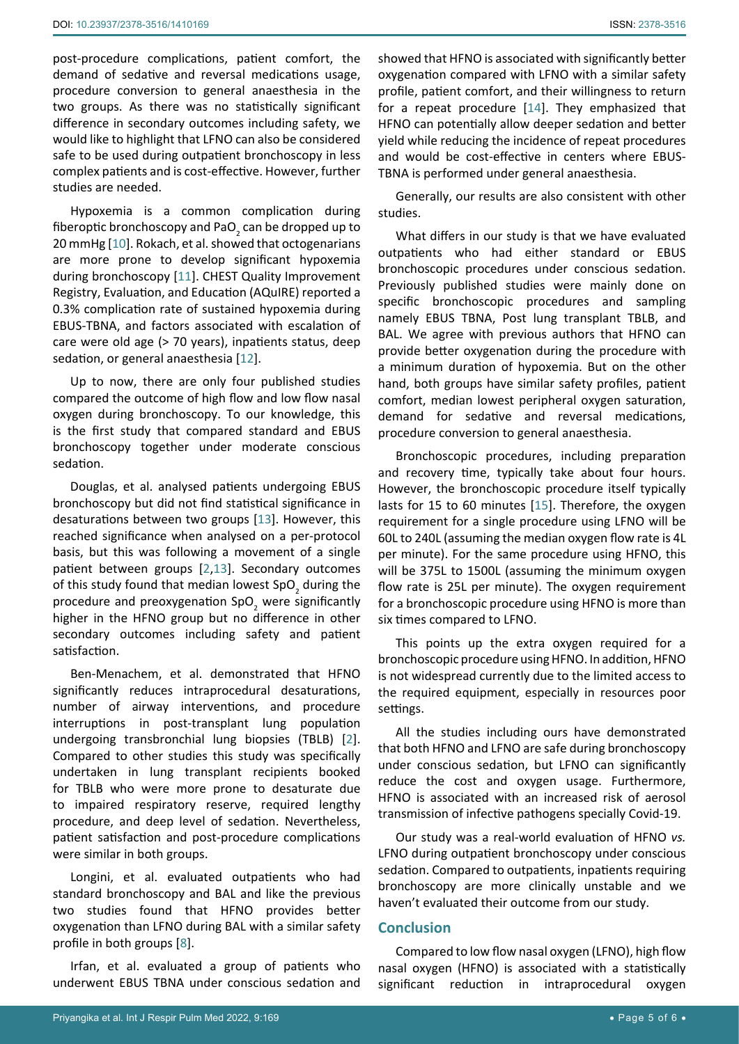post-procedure complications, patient comfort, the demand of sedative and reversal medications usage, procedure conversion to general anaesthesia in the two groups. As there was no statistically significant difference in secondary outcomes including safety, we would like to highlight that LFNO can also be considered safe to be used during outpatient bronchoscopy in less complex patients and is cost-effective. However, further studies are needed.

Hypoxemia is a common complication during fiberoptic bronchoscopy and PaO<sub>2</sub> can be dropped up to 20 mmHg [\[10\]](#page-5-11). Rokach, et al. showed that octogenarians are more prone to develop significant hypoxemia during bronchoscopy [\[11](#page-5-12)]. CHEST Quality Improvement Registry, Evaluation, and Education (AQuIRE) reported a 0.3% complication rate of sustained hypoxemia during EBUS-TBNA, and factors associated with escalation of care were old age (> 70 years), inpatients status, deep sedation, or general anaesthesia [\[12\]](#page-5-13).

Up to now, there are only four published studies compared the outcome of high flow and low flow nasal oxygen during bronchoscopy. To our knowledge, this is the first study that compared standard and EBUS bronchoscopy together under moderate conscious sedation.

Douglas, et al. analysed patients undergoing EBUS bronchoscopy but did not find statistical significance in desaturations between two groups [[13\]](#page-5-14). However, this reached significance when analysed on a per-protocol basis, but this was following a movement of a single patient between groups [[2](#page-5-1),[13](#page-5-14)]. Secondary outcomes of this study found that median lowest SpO<sub>2</sub> during the procedure and preoxygenation SpO<sub>2</sub> were significantly higher in the HFNO group but no difference in other secondary outcomes including safety and patient satisfaction.

Ben-Menachem, et al. demonstrated that HFNO significantly reduces intraprocedural desaturations, number of airway interventions, and procedure interruptions in post-transplant lung population undergoing transbronchial lung biopsies (TBLB) [[2](#page-5-1)]. Compared to other studies this study was specifically undertaken in lung transplant recipients booked for TBLB who were more prone to desaturate due to impaired respiratory reserve, required lengthy procedure, and deep level of sedation. Nevertheless, patient satisfaction and post-procedure complications were similar in both groups.

Longini, et al. evaluated outpatients who had standard bronchoscopy and BAL and like the previous two studies found that HFNO provides better oxygenation than LFNO during BAL with a similar safety profile in both groups [\[8\]](#page-5-7).

Irfan, et al. evaluated a group of patients who underwent EBUS TBNA under conscious sedation and showed that HFNO is associated with significantly better oxygenation compared with LFNO with a similar safety profile, patient comfort, and their willingness to return for a repeat procedure [[14](#page-5-9)]. They emphasized that HFNO can potentially allow deeper sedation and better yield while reducing the incidence of repeat procedures and would be cost-effective in centers where EBUS-TBNA is performed under general anaesthesia.

Generally, our results are also consistent with other studies.

What differs in our study is that we have evaluated outpatients who had either standard or EBUS bronchoscopic procedures under conscious sedation. Previously published studies were mainly done on specific bronchoscopic procedures and sampling namely EBUS TBNA, Post lung transplant TBLB, and BAL. We agree with previous authors that HFNO can provide better oxygenation during the procedure with a minimum duration of hypoxemia. But on the other hand, both groups have similar safety profiles, patient comfort, median lowest peripheral oxygen saturation, demand for sedative and reversal medications, procedure conversion to general anaesthesia.

Bronchoscopic procedures, including preparation and recovery time, typically take about four hours. However, the bronchoscopic procedure itself typically lasts for 15 to 60 minutes [[15\]](#page-5-10). Therefore, the oxygen requirement for a single procedure using LFNO will be 60L to 240L (assuming the median oxygen flow rate is 4L per minute). For the same procedure using HFNO, this will be 375L to 1500L (assuming the minimum oxygen flow rate is 25L per minute). The oxygen requirement for a bronchoscopic procedure using HFNO is more than six times compared to LFNO.

This points up the extra oxygen required for a bronchoscopic procedure using HFNO. In addition, HFNO is not widespread currently due to the limited access to the required equipment, especially in resources poor settings.

All the studies including ours have demonstrated that both HFNO and LFNO are safe during bronchoscopy under conscious sedation, but LFNO can significantly reduce the cost and oxygen usage. Furthermore, HFNO is associated with an increased risk of aerosol transmission of infective pathogens specially Covid-19.

Our study was a real-world evaluation of HFNO *vs.*  LFNO during outpatient bronchoscopy under conscious sedation. Compared to outpatients, inpatients requiring bronchoscopy are more clinically unstable and we haven't evaluated their outcome from our study.

## **Conclusion**

Compared to low flow nasal oxygen (LFNO), high flow nasal oxygen (HFNO) is associated with a statistically significant reduction in intraprocedural oxygen